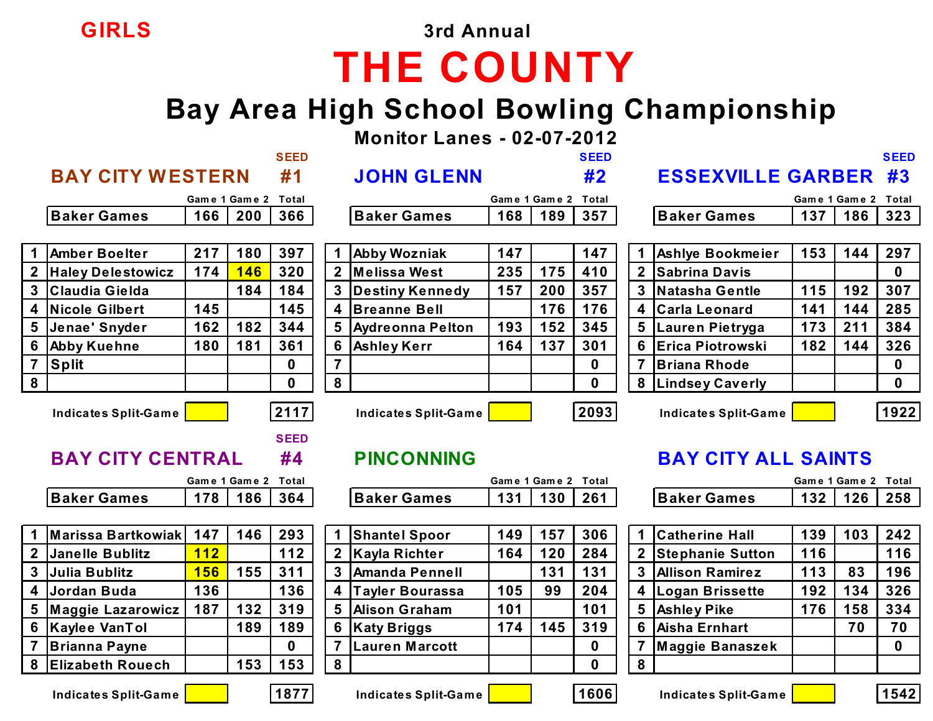**GIRLS 3rd Annual**

## **THE COUNTY**

#### **Bay Area High School Bowling Championship**

**Monitor Lanes - 02-07-2012**

|   |                             |               |     | <b>SEED</b>       |                |                             |     |                     | <b>SEED</b> |                |                            |     |               | <b>SEED</b> |
|---|-----------------------------|---------------|-----|-------------------|----------------|-----------------------------|-----|---------------------|-------------|----------------|----------------------------|-----|---------------|-------------|
|   | <b>BAY CITY WESTERN</b>     |               |     | #1                |                | <b>JOHN GLENN</b>           |     |                     | #2          |                | <b>ESSEXVILLE GARBER</b>   |     |               | #3          |
|   |                             | Game 1 Game 2 |     | Total             |                |                             |     | Game 1 Game 2       | Total       |                |                            |     | Game 1 Game 2 | Total       |
|   | <b>Baker Games</b>          | 166           | 200 | 366               |                | <b>Baker Games</b>          | 168 | 189                 | 357         |                | <b>Baker Games</b>         | 137 | 186           | 323         |
|   |                             |               |     |                   |                |                             |     |                     |             |                |                            |     |               |             |
|   | <b>Amber Boelter</b>        | 217           | 180 | 397               |                | <b>Abby Wozniak</b>         | 147 |                     | 147         |                | Ashlye Bookmeier           | 153 | 144           | 297         |
|   | <b>Haley Delestowicz</b>    | 174           | 146 | 320               |                | Melissa West                | 235 | 175                 | 410         |                | <b>Sabrina Davis</b>       |     |               | $\mathbf 0$ |
|   | Claudia Gielda              |               | 184 | 184               |                | Destiny Kennedy             | 157 | 200                 | 357         | 3              | Natasha Gentle             | 115 | 192           | 307         |
| 4 | Nicole Gilbert              | 145           |     | 145               |                | 4 Breanne Bell              |     | 176                 | 176         | 4              | Carla Leonard              | 141 | 144           | 285         |
|   | Jenae' Snyder               | 162           | 182 | 344               |                | 5 Aydreonna Pelton          | 193 | 152                 | 345         | 5              | Lauren Pietryga            | 173 | 211           | 384         |
| 6 | <b>Abby Kuehne</b>          | 180           | 181 | 361               | $6\phantom{1}$ | <b>Ashley Kerr</b>          | 164 | 137                 | 301         | 6              | Erica Piotrowski           | 182 | 144           | 326         |
|   | <b>Split</b>                |               |     | $\mathbf{0}$      | $\overline{7}$ |                             |     |                     | 0           | $\overline{7}$ | <b>Briana Rhode</b>        |     |               | $\mathbf 0$ |
| 8 |                             |               |     | $\mathbf 0$       | 8              |                             |     |                     | $\mathbf 0$ | 8              | <b>Lindsey Caverly</b>     |     |               | $\mathbf 0$ |
|   | <b>Indicates Split-Game</b> |               |     | 2117              |                | <b>Indicates Split-Game</b> |     |                     | 2093        |                | Indicates Split-Game       |     |               | 1922        |
|   | <b>BAY CITY CENTRAL</b>     |               |     | <b>SEED</b><br>#4 |                | <b>PINCONNING</b>           |     |                     |             |                | <b>BAY CITY ALL SAINTS</b> |     |               |             |
|   |                             | Game 1 Game 2 |     | Total             |                |                             |     | Game 1 Game 2 Total |             |                |                            |     | Game 1 Game 2 | Total       |
|   | <b>Baker Games</b>          | 178           | 186 | 364               |                | <b>Baker Games</b>          | 131 | 130                 | 261         |                | <b>Baker Games</b>         | 132 | 126           | 258         |
|   |                             |               |     |                   |                |                             |     |                     |             |                |                            |     |               |             |
|   | Marissa Bartkowiak          | 147           | 146 | 293               |                | <b>Shantel Spoor</b>        | 149 | 157                 | 306         | $\mathbf 1$    | <b>Catherine Hall</b>      | 139 | 103           | 242         |
|   | <b>Janelle Bublitz</b>      | 112           |     | 112               |                | <b>Kayla Richter</b>        | 164 | 120                 | 284         |                | <b>Stephanie Sutton</b>    | 116 |               | 116         |
|   | Julia Bublitz               | <b>156</b>    | 155 | 311               | $\mathbf{3}$   | <b>Amanda Pennell</b>       |     | 131                 | 131         | $\mathbf{3}$   | <b>Allison Ramirez</b>     | 113 | 83            | 196         |
| 4 | Jordan Buda                 | 136           |     | 136               | 4              | <b>Tayler Bourassa</b>      | 105 | 99                  | 204         | 4              | <b>Logan Brissette</b>     | 192 | 134           | 326         |
| 5 | <b>Maggie Lazarowicz</b>    | 187           | 132 | 319               | 5              | <b>Alison Graham</b>        | 101 |                     | 101         | 5              | <b>Ashley Pike</b>         | 176 | 158           | 334         |



|            |             | Game 1 Game 2 Total |  |
|------------|-------------|---------------------|--|
| aker Games | 132 126 258 |                     |  |

|                | 1 Marissa Bartkowiak    | 147 | 146 | 293 |             | <b>Shantel Spoor</b>   | 149 | 157 | 306      |
|----------------|-------------------------|-----|-----|-----|-------------|------------------------|-----|-----|----------|
|                | 2 Janelle Bublitz       | 112 |     | 112 | $\mathbf 2$ | Kayla Richter          | 164 | 120 | 284      |
|                | 3 Julia Bublitz         | 156 | 155 | 311 | 3           | <b>Amanda Pennell</b>  |     | 131 | 131      |
|                | 4 Jordan Buda           | 136 |     | 136 | 4           | <b>Tayler Bourassa</b> | 105 | 99  | 204      |
|                | 5 Maggie Lazarowicz     | 187 | 132 | 319 | 5           | <b>Alison Graham</b>   | 101 |     | 101      |
| 6              | Kaylee VanTol           |     | 189 | 189 | 6           | <b>Katy Briggs</b>     | 174 | 145 | 319      |
| $\overline{7}$ | <b>Brianna Payne</b>    |     |     | 0   |             | <b>Lauren Marcott</b>  |     |     | $\bf{0}$ |
| 8              | <b>Elizabeth Rouech</b> |     | 153 | 153 | 8           |                        |     |     | $\bf{0}$ |
|                |                         |     |     |     |             |                        |     |     |          |

| <b>BAY CITY ALL SAINTS</b> |
|----------------------------|
| Game 1 Game 2              |

| IJZ | I ŁU | LJU |
|-----|------|-----|
|     |      |     |
|     |      |     |
| 139 | 103  | 747 |

|   | 2 Stephanie Sutton     | 116 |     | 116 |
|---|------------------------|-----|-----|-----|
| 3 | <b>Allison Ramirez</b> | 113 | 83  | 196 |
| 4 | Logan Brissette        | 192 | 134 | 326 |
| 5 | <b>Ashley Pike</b>     | 176 | 158 | 334 |
| 6 | Aisha Ernhart          |     | 70  | 70  |
|   | <b>Maggie Banaszek</b> |     |     |     |
|   |                        |     |     |     |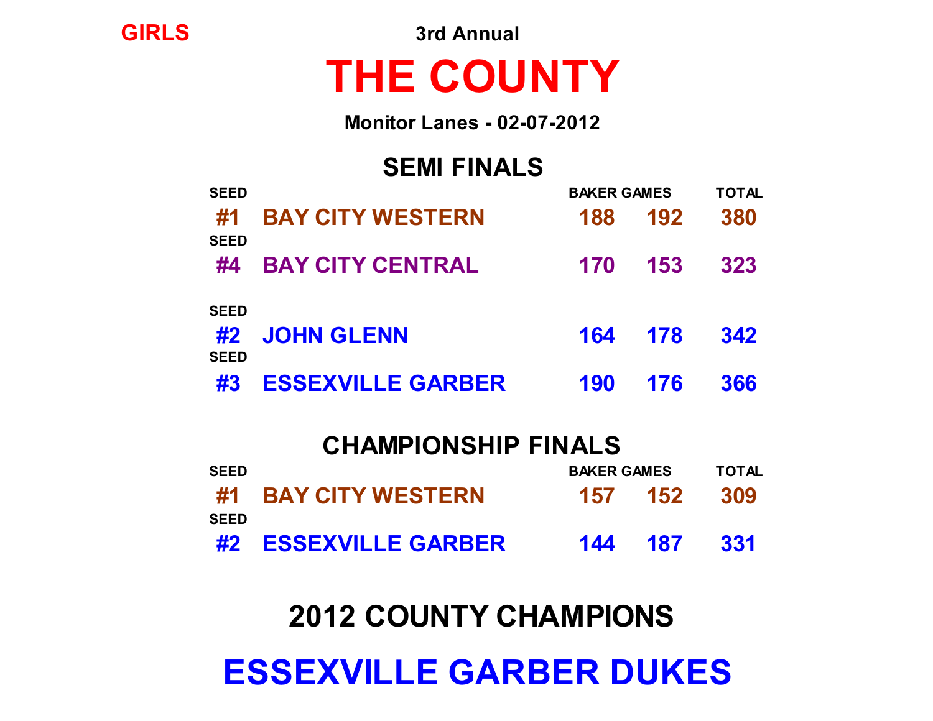# **ESSEXVILLE GARBER DUKES**

## **2012 COUNTY CHAMPIONS**

|             | <b>CHAMPIONSHIP FINALS</b> |                    |     |              |
|-------------|----------------------------|--------------------|-----|--------------|
| <b>SEED</b> |                            | <b>BAKER GAMES</b> |     | <b>TOTAL</b> |
| <b>SEED</b> | #1 BAY CITY WESTERN        | 157 152            |     | 309          |
|             | #2 ESSEXVILLE GARBER       | 144                | 187 | -331         |

|                            | #4 BAY CITY CENTRAL  | 170 153 323 |     |
|----------------------------|----------------------|-------------|-----|
| <b>SEED</b><br><b>SEED</b> | #2 JOHN GLENN        | 164 178 342 |     |
|                            | #3 ESSEXVILLE GARBER | 190 176     | 366 |

**SEED BAKER GAMES TOTAL**

**#1 BAY CITY WESTERN 188 192 380**

| <b>Monitor Lanes - 02-07-2012</b> |  |
|-----------------------------------|--|
| <b>SEMI FINALS</b>                |  |

# **THE COUNTY**

**GIRLS 3rd Annual**

**SEED**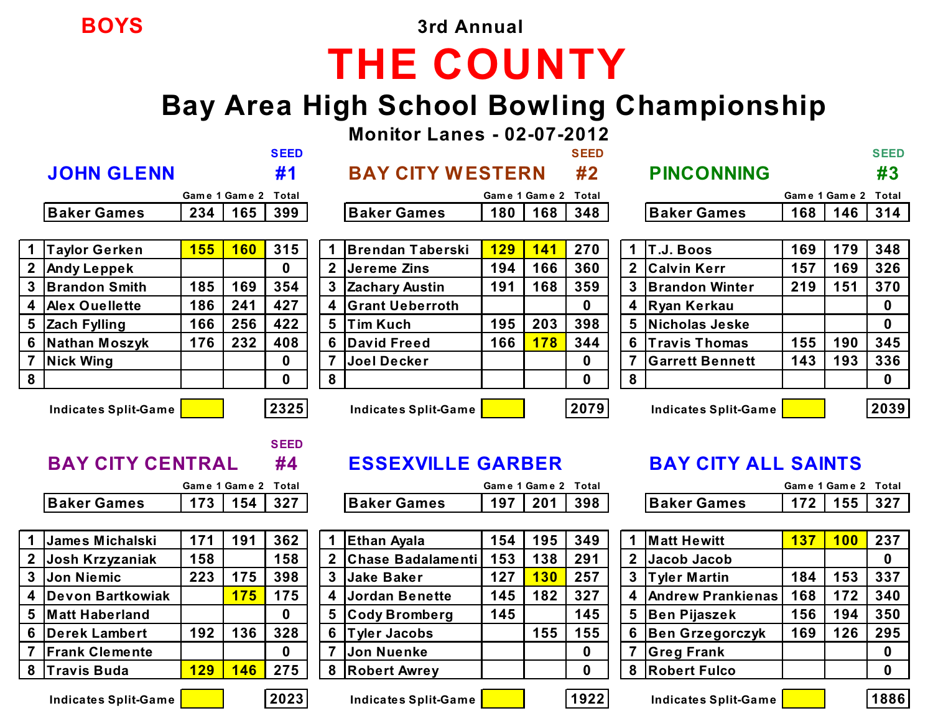**BOYS 3rd Annual**

# **THE COUNTY**

#### **Bay Area High School Bowling Championship**

**Monitor Lanes - 02-07-2012**

|                  |                             |            |                     | <b>SEED</b> |                |                             |                     |            | <b>SEED</b> |                |                             |            |                     | <b>SEED</b> |
|------------------|-----------------------------|------------|---------------------|-------------|----------------|-----------------------------|---------------------|------------|-------------|----------------|-----------------------------|------------|---------------------|-------------|
|                  | <b>JOHN GLENN</b>           |            |                     | #1          |                | <b>BAY CITY WESTERN</b>     |                     |            | #2          |                | <b>PINCONNING</b>           |            |                     | #3          |
|                  |                             |            | Game 1 Game 2 Total |             |                |                             | Game 1 Game 2       |            | Total       |                |                             |            | Game 1 Game 2       | Total       |
|                  | <b>Baker Games</b>          | 234        | 165                 | 399         |                | <b>Baker Games</b>          | 180                 | 168        | 348         |                | <b>Baker Games</b>          | 168        | 146                 | 314         |
|                  |                             |            |                     |             |                |                             |                     |            |             |                |                             |            |                     |             |
|                  | <b>Taylor Gerken</b>        | <b>155</b> | <b>160</b>          | 315         | 1.             | <b>Brendan Taberski</b>     | 129                 | 141        | 270         | $\mathbf 1$    | T.J. Boos                   | 169        | 179                 | 348         |
|                  | <b>Andy Leppek</b>          |            |                     | $\bf{0}$    |                | 2 Jereme Zins               | 194                 | 166        | 360         |                | 2 Calvin Kerr               | 157        | 169                 | 326         |
| 3                | <b>Brandon Smith</b>        | 185        | 169                 | 354         | 3              | <b>Zachary Austin</b>       | 191                 | 168        | 359         | 3              | <b>Brandon Winter</b>       | 219        | 151                 | 370         |
| 4                | <b>Alex Ouellette</b>       | 186        | 241                 | 427         | 4              | <b>Grant Ueberroth</b>      |                     |            | $\mathbf 0$ |                | 4 Ryan Kerkau               |            |                     | $\mathbf 0$ |
| 5                | <b>Zach Fylling</b>         | 166        | 256                 | 422         | 5              | <b>Tim Kuch</b>             | 195                 | 203        | 398         | 5              | Nicholas Jeske              |            |                     | $\bf{0}$    |
| $6\phantom{1}6$  | Nathan Moszyk               | 176        | 232                 | 408         | 6              | David Freed                 | 166                 | <b>178</b> | 344         | 6              | <b>Travis Thomas</b>        | 155        | 190                 | 345         |
|                  | Nick Wing                   |            |                     | 0           |                | Joel Decker                 |                     |            | $\bf{0}$    |                | <b>Garrett Bennett</b>      | 143        | 193                 | 336         |
| 8                |                             |            |                     | 0           | 8              |                             |                     |            | $\bf{0}$    | 8              |                             |            |                     | $\mathbf 0$ |
|                  | <b>Indicates Split-Game</b> |            |                     | 2325        |                | <b>Indicates Split-Game</b> |                     |            | 2079        |                | <b>Indicates Split-Game</b> |            |                     | 2039        |
|                  |                             |            |                     | <b>SEED</b> |                |                             |                     |            |             |                |                             |            |                     |             |
|                  | <b>BAY CITY CENTRAL</b>     |            |                     | #4          |                | <b>ESSEXVILLE GARBER</b>    |                     |            |             |                | <b>BAY CITY ALL SAINTS</b>  |            |                     |             |
|                  |                             |            | Game 1 Game 2       | Total       |                |                             | Game 1 Game 2 Total |            |             |                |                             |            | Game 1 Game 2 Total |             |
|                  | <b>Baker Games</b>          | 173        | 154                 | 327         |                | <b>Baker Games</b>          | 197                 | 201        | 398         |                | <b>Baker Games</b>          | 172        | 155                 | 327         |
|                  |                             |            |                     |             |                |                             |                     |            |             |                |                             |            |                     |             |
|                  | James Michalski             | 171        | 191                 | 362         | $\overline{1}$ | <b>Ethan Ayala</b>          | 154                 | 195        | 349         |                | <b>Matt Hewitt</b>          | <b>137</b> | 100                 | 237         |
| $\boldsymbol{2}$ | Josh Krzyzaniak             | 158        |                     | 158         |                | 2 Chase Badalamenti         | 153                 | 138        | 291         | 2 <sup>1</sup> | Jacob Jacob                 |            |                     | $\mathbf 0$ |
| 3                | Jon Niemic                  | 223        | 175                 | 398         | 3              | <b>Jake Baker</b>           | 127                 | 130        | 257         | $3\phantom{a}$ | Tyler Martin                | 184        | 153                 | 337         |

 **Devon Bartkowiak 175 175 4 Jordan Benette 145 182 327 4 Andrew Prankienas 168 172 340 Matt Haberland 0 5 Cody Bromberg 145 145 5 Ben Pijaszek 156 194 350 Derek Lambert 192 136 328 6 Tyler Jacobs 155 155 6 Ben Grzegorczyk 169 126 295 Frank Clemente 0 7 Jon Nuenke 0 7 Greg Frank 0 Travis Buda 129 146 275 8 Robert Awrey 0 8 Robert Fulco 0**

**Indicates Split-Game 2023 Indicates Split-Game 1922 Indicates Split-Game 1886**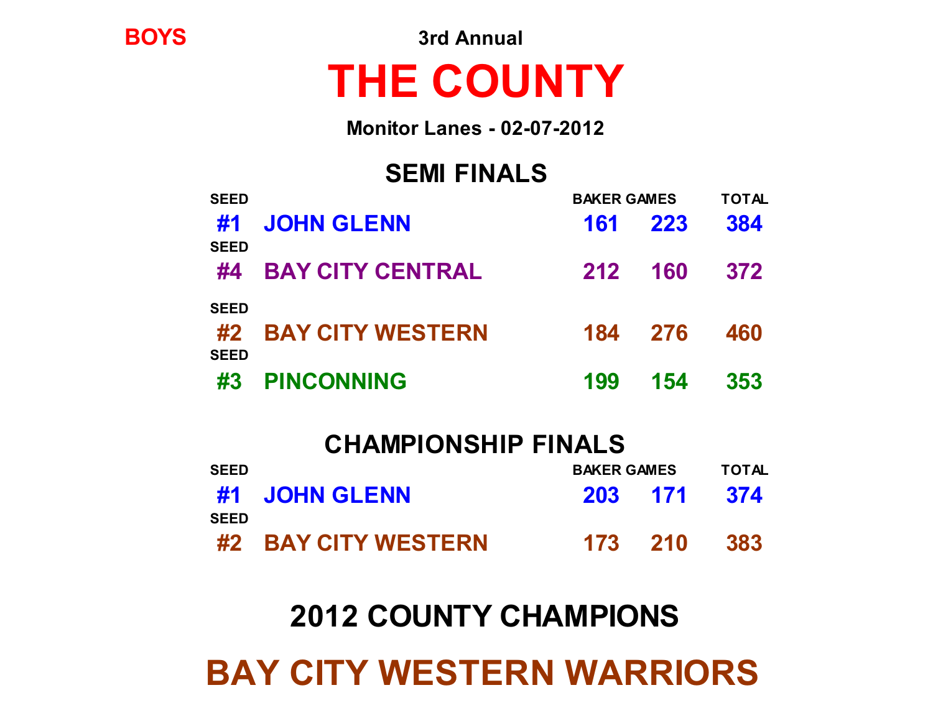## **BAY CITY WESTERN WARRIORS**

## **2012 COUNTY CHAMPIONS**

|             | <b>CHAMPIONSHIP FINALS</b> |                    |              |
|-------------|----------------------------|--------------------|--------------|
| <b>SEED</b> |                            | <b>BAKER GAMES</b> | <b>TOTAL</b> |
|             | #1 JOHN GLENN              | 203 171            | 374          |
| <b>SFFD</b> | #2 BAY CITY WESTERN        | 173 210            | 383          |

| #1                         | <b>JOHN GLENN</b>       |     | 161 223 | 384 |
|----------------------------|-------------------------|-----|---------|-----|
| <b>SEED</b><br>#4          | <b>BAY CITY CENTRAL</b> |     | 212 160 | 372 |
| <b>SEED</b><br><b>SEED</b> | #2 BAY CITY WESTERN     |     | 184 276 | 460 |
| #3                         | <b>PINCONNING</b>       | 199 | 154     | 353 |

**SEED BAKER GAMES TOTAL**

## **THE COUNTY**

**Monitor Lanes - 02-07-2012**

**SEMI FINALS**

**BOYS 3rd Annual**